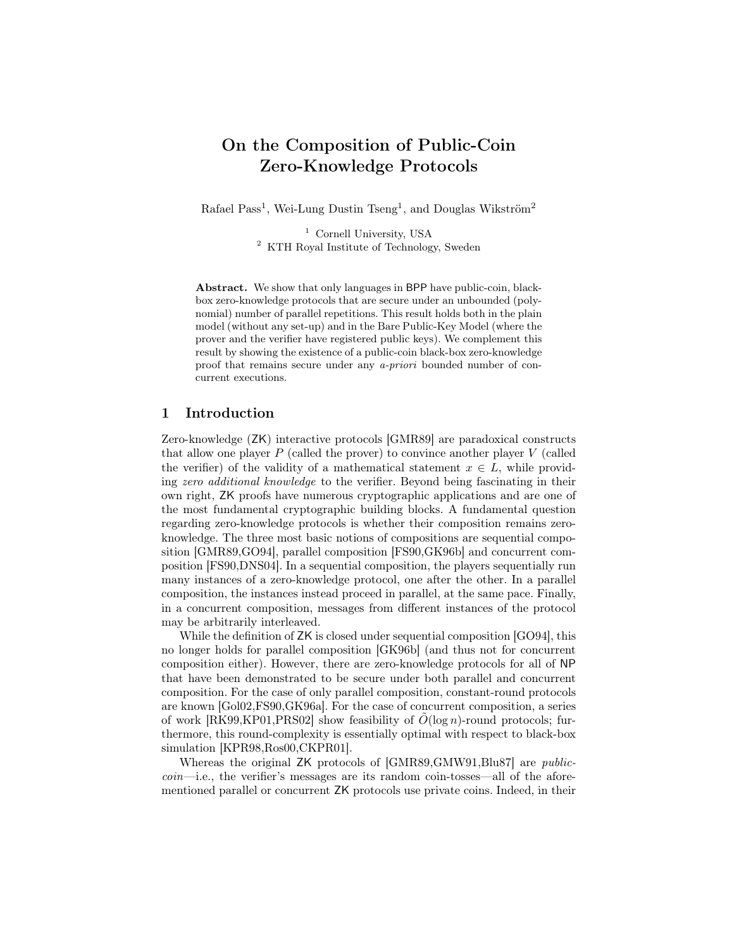# On the Composition of Public-Coin Zero-Knowledge Protocols

Rafael Pass<sup>1</sup>, Wei-Lung Dustin Tseng<sup>1</sup>, and Douglas Wikström<sup>2</sup>

<sup>1</sup> Cornell University, USA <sup>2</sup> KTH Royal Institute of Technology, Sweden

Abstract. We show that only languages in BPP have public-coin, blackbox zero-knowledge protocols that are secure under an unbounded (polynomial) number of parallel repetitions. This result holds both in the plain model (without any set-up) and in the Bare Public-Key Model (where the prover and the verifier have registered public keys). We complement this result by showing the existence of a public-coin black-box zero-knowledge proof that remains secure under any a-priori bounded number of concurrent executions.

### 1 Introduction

Zero-knowledge (ZK) interactive protocols [GMR89] are paradoxical constructs that allow one player  $P$  (called the prover) to convince another player  $V$  (called the verifier) of the validity of a mathematical statement  $x \in L$ , while providing zero additional knowledge to the verifier. Beyond being fascinating in their own right, ZK proofs have numerous cryptographic applications and are one of the most fundamental cryptographic building blocks. A fundamental question regarding zero-knowledge protocols is whether their composition remains zeroknowledge. The three most basic notions of compositions are sequential composition [GMR89,GO94], parallel composition [FS90,GK96b] and concurrent composition [FS90,DNS04]. In a sequential composition, the players sequentially run many instances of a zero-knowledge protocol, one after the other. In a parallel composition, the instances instead proceed in parallel, at the same pace. Finally, in a concurrent composition, messages from different instances of the protocol may be arbitrarily interleaved.

While the definition of **ZK** is closed under sequential composition [GO94], this no longer holds for parallel composition [GK96b] (and thus not for concurrent composition either). However, there are zero-knowledge protocols for all of NP that have been demonstrated to be secure under both parallel and concurrent composition. For the case of only parallel composition, constant-round protocols are known [Gol02,FS90,GK96a]. For the case of concurrent composition, a series of work  $[RK99, KP01, PRS02]$  show feasibility of  $O(\log n)$ -round protocols; furthermore, this round-complexity is essentially optimal with respect to black-box simulation [KPR98,Ros00,CKPR01].

Whereas the original ZK protocols of [GMR89,GMW91,Blu87] are *public*coin—i.e., the verifier's messages are its random coin-tosses—all of the aforementioned parallel or concurrent ZK protocols use private coins. Indeed, in their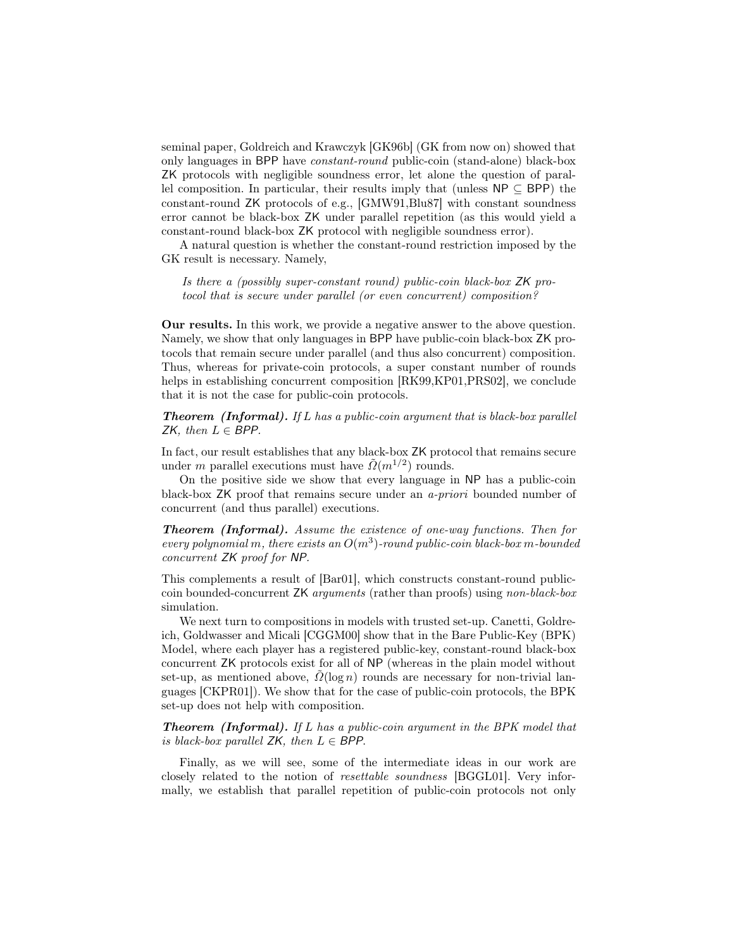seminal paper, Goldreich and Krawczyk [GK96b] (GK from now on) showed that only languages in BPP have constant-round public-coin (stand-alone) black-box ZK protocols with negligible soundness error, let alone the question of parallel composition. In particular, their results imply that (unless  $\mathsf{NP} \subseteq \mathsf{BPP}$ ) the constant-round ZK protocols of e.g., [GMW91,Blu87] with constant soundness error cannot be black-box ZK under parallel repetition (as this would yield a constant-round black-box ZK protocol with negligible soundness error).

A natural question is whether the constant-round restriction imposed by the GK result is necessary. Namely,

Is there a (possibly super-constant round) public-coin black-box ZK protocol that is secure under parallel (or even concurrent) composition?

Our results. In this work, we provide a negative answer to the above question. Namely, we show that only languages in BPP have public-coin black-box ZK protocols that remain secure under parallel (and thus also concurrent) composition. Thus, whereas for private-coin protocols, a super constant number of rounds helps in establishing concurrent composition [RK99,KP01,PRS02], we conclude that it is not the case for public-coin protocols.

**Theorem (Informal).** If L has a public-coin argument that is black-box parallel ZK, then  $L \in BPP$ .

In fact, our result establishes that any black-box ZK protocol that remains secure under m parallel executions must have  $\tilde{O}(m^{1/2})$  rounds.

On the positive side we show that every language in NP has a public-coin black-box ZK proof that remains secure under an a-priori bounded number of concurrent (and thus parallel) executions.

Theorem (Informal). Assume the existence of one-way functions. Then for every polynomial m, there exists an  $O(m^3)$ -round public-coin black-box m-bounded concurrent ZK proof for NP.

This complements a result of [Bar01], which constructs constant-round publiccoin bounded-concurrent ZK arguments (rather than proofs) using non-black-box simulation.

We next turn to compositions in models with trusted set-up. Canetti, Goldreich, Goldwasser and Micali [CGGM00] show that in the Bare Public-Key (BPK) Model, where each player has a registered public-key, constant-round black-box concurrent ZK protocols exist for all of NP (whereas in the plain model without set-up, as mentioned above,  $\Omega(\log n)$  rounds are necessary for non-trivial languages [CKPR01]). We show that for the case of public-coin protocols, the BPK set-up does not help with composition.

Theorem (Informal). If L has a public-coin argument in the BPK model that is black-box parallel  $ZK$ , then  $L \in BPP$ .

Finally, as we will see, some of the intermediate ideas in our work are closely related to the notion of resettable soundness [BGGL01]. Very informally, we establish that parallel repetition of public-coin protocols not only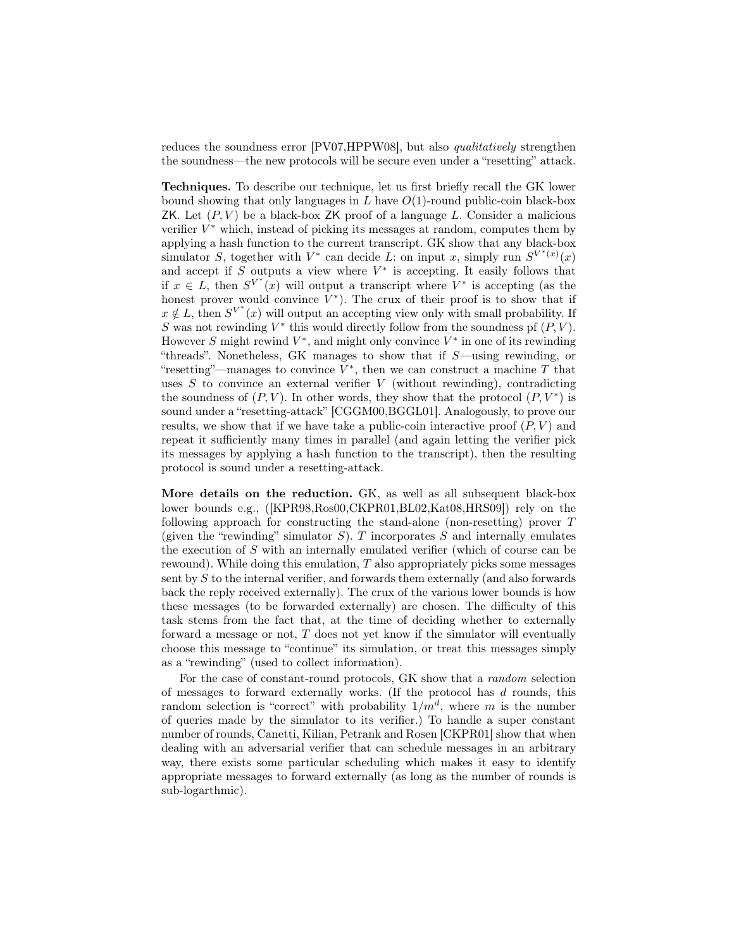reduces the soundness error [PV07,HPPW08], but also qualitatively strengthen the soundness—the new protocols will be secure even under a "resetting" attack.

Techniques. To describe our technique, let us first briefly recall the GK lower bound showing that only languages in  $L$  have  $O(1)$ -round public-coin black-box **ZK.** Let  $(P, V)$  be a black-box **ZK** proof of a language L. Consider a malicious verifier  $V^*$  which, instead of picking its messages at random, computes them by applying a hash function to the current transcript. GK show that any black-box simulator S, together with  $V^*$  can decide L: on input x, simply run  $S^{V^*(x)}(x)$ and accept if  $S$  outputs a view where  $V^*$  is accepting. It easily follows that if  $x \in L$ , then  $S^{V^*}(x)$  will output a transcript where  $V^*$  is accepting (as the honest prover would convince  $V^*$ ). The crux of their proof is to show that if  $x \notin L$ , then  $S^{V^*}(x)$  will output an accepting view only with small probability. If S was not rewinding  $V^*$  this would directly follow from the soundness pf  $(P, V)$ . However S might rewind  $V^*$ , and might only convince  $V^*$  in one of its rewinding "threads". Nonetheless, GK manages to show that if S—using rewinding, or "resetting"—manages to convince  $V^*$ , then we can construct a machine T that uses  $S$  to convince an external verifier  $V$  (without rewinding), contradicting the soundness of  $(P, V)$ . In other words, they show that the protocol  $(P, V^*)$  is sound under a "resetting-attack" [CGGM00,BGGL01]. Analogously, to prove our results, we show that if we have take a public-coin interactive proof  $(P, V)$  and repeat it sufficiently many times in parallel (and again letting the verifier pick its messages by applying a hash function to the transcript), then the resulting protocol is sound under a resetting-attack.

More details on the reduction. GK, as well as all subsequent black-box lower bounds e.g., ([KPR98,Ros00,CKPR01,BL02,Kat08,HRS09]) rely on the following approach for constructing the stand-alone (non-resetting) prover T (given the "rewinding" simulator  $S$ ). T incorporates S and internally emulates the execution of S with an internally emulated verifier (which of course can be rewound). While doing this emulation,  $T$  also appropriately picks some messages sent by S to the internal verifier, and forwards them externally (and also forwards back the reply received externally). The crux of the various lower bounds is how these messages (to be forwarded externally) are chosen. The difficulty of this task stems from the fact that, at the time of deciding whether to externally forward a message or not, T does not yet know if the simulator will eventually choose this message to "continue" its simulation, or treat this messages simply as a "rewinding" (used to collect information).

For the case of constant-round protocols, GK show that a random selection of messages to forward externally works. (If the protocol has d rounds, this random selection is "correct" with probability  $1/m<sup>d</sup>$ , where m is the number of queries made by the simulator to its verifier.) To handle a super constant number of rounds, Canetti, Kilian, Petrank and Rosen [CKPR01] show that when dealing with an adversarial verifier that can schedule messages in an arbitrary way, there exists some particular scheduling which makes it easy to identify appropriate messages to forward externally (as long as the number of rounds is sub-logarthmic).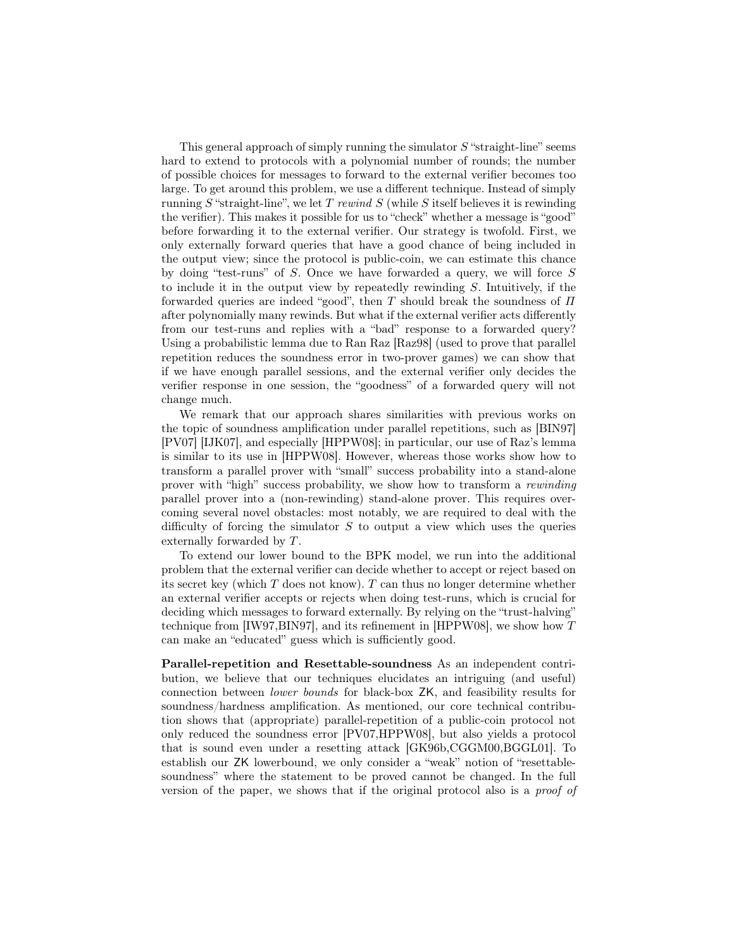This general approach of simply running the simulator S "straight-line" seems hard to extend to protocols with a polynomial number of rounds; the number of possible choices for messages to forward to the external verifier becomes too large. To get around this problem, we use a different technique. Instead of simply running  $S$  "straight-line", we let  $T$  rewind  $S$  (while  $S$  itself believes it is rewinding the verifier). This makes it possible for us to "check" whether a message is "good" before forwarding it to the external verifier. Our strategy is twofold. First, we only externally forward queries that have a good chance of being included in the output view; since the protocol is public-coin, we can estimate this chance by doing "test-runs" of  $S$ . Once we have forwarded a query, we will force  $S$ to include it in the output view by repeatedly rewinding S. Intuitively, if the forwarded queries are indeed "good", then T should break the soundness of  $\Pi$ after polynomially many rewinds. But what if the external verifier acts differently from our test-runs and replies with a "bad" response to a forwarded query? Using a probabilistic lemma due to Ran Raz [Raz98] (used to prove that parallel repetition reduces the soundness error in two-prover games) we can show that if we have enough parallel sessions, and the external verifier only decides the verifier response in one session, the "goodness" of a forwarded query will not change much.

We remark that our approach shares similarities with previous works on the topic of soundness amplification under parallel repetitions, such as [BIN97] [PV07] [IJK07], and especially [HPPW08]; in particular, our use of Raz's lemma is similar to its use in [HPPW08]. However, whereas those works show how to transform a parallel prover with "small" success probability into a stand-alone prover with "high" success probability, we show how to transform a rewinding parallel prover into a (non-rewinding) stand-alone prover. This requires overcoming several novel obstacles: most notably, we are required to deal with the difficulty of forcing the simulator  $S$  to output a view which uses the queries externally forwarded by T.

To extend our lower bound to the BPK model, we run into the additional problem that the external verifier can decide whether to accept or reject based on its secret key (which  $T$  does not know).  $T$  can thus no longer determine whether an external verifier accepts or rejects when doing test-runs, which is crucial for deciding which messages to forward externally. By relying on the "trust-halving" technique from [IW97,BIN97], and its refinement in [HPPW08], we show how T can make an "educated" guess which is sufficiently good.

Parallel-repetition and Resettable-soundness As an independent contribution, we believe that our techniques elucidates an intriguing (and useful) connection between lower bounds for black-box ZK, and feasibility results for soundness/hardness amplification. As mentioned, our core technical contribution shows that (appropriate) parallel-repetition of a public-coin protocol not only reduced the soundness error [PV07,HPPW08], but also yields a protocol that is sound even under a resetting attack [GK96b,CGGM00,BGGL01]. To establish our ZK lowerbound, we only consider a "weak" notion of "resettablesoundness" where the statement to be proved cannot be changed. In the full version of the paper, we shows that if the original protocol also is a proof of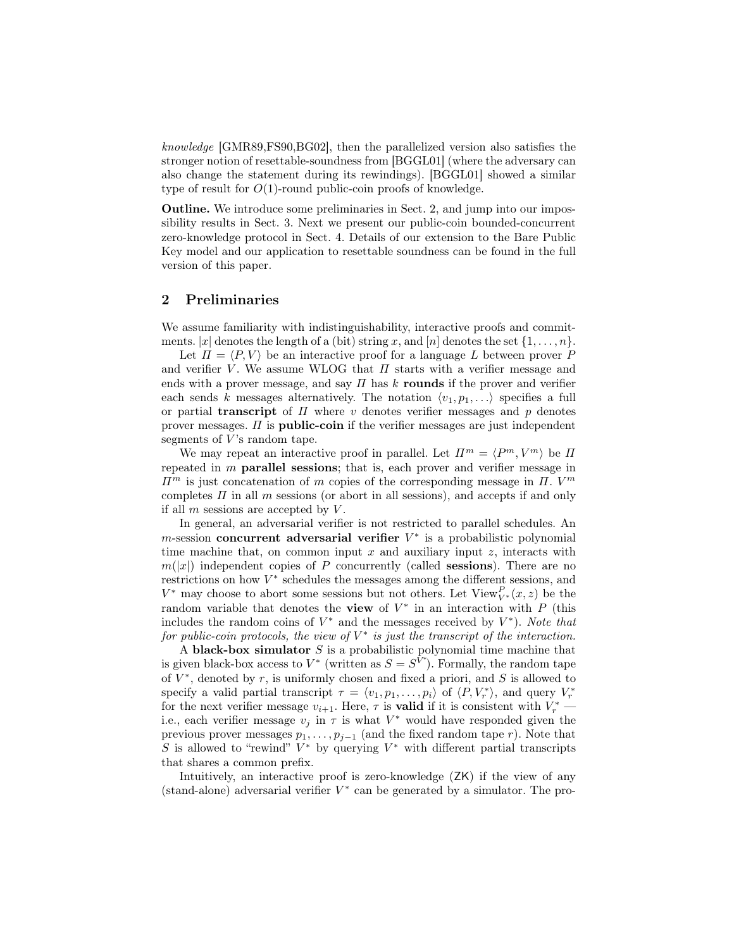knowledge [GMR89,FS90,BG02], then the parallelized version also satisfies the stronger notion of resettable-soundness from [BGGL01] (where the adversary can also change the statement during its rewindings). [BGGL01] showed a similar type of result for  $O(1)$ -round public-coin proofs of knowledge.

Outline. We introduce some preliminaries in Sect. 2, and jump into our impossibility results in Sect. 3. Next we present our public-coin bounded-concurrent zero-knowledge protocol in Sect. 4. Details of our extension to the Bare Public Key model and our application to resettable soundness can be found in the full version of this paper.

# 2 Preliminaries

We assume familiarity with indistinguishability, interactive proofs and commitments. |x| denotes the length of a (bit) string x, and [n] denotes the set  $\{1, \ldots, n\}$ .

Let  $\Pi = \langle P, V \rangle$  be an interactive proof for a language L between prover P and verifier V. We assume WLOG that  $\Pi$  starts with a verifier message and ends with a prover message, and say  $\Pi$  has k rounds if the prover and verifier each sends k messages alternatively. The notation  $\langle v_1, p_1, \ldots \rangle$  specifies a full or partial **transcript** of  $\Pi$  where v denotes verifier messages and p denotes prover messages.  $\Pi$  is **public-coin** if the verifier messages are just independent segments of  $V$ 's random tape.

We may repeat an interactive proof in parallel. Let  $\Pi^m = \langle P^m, V^m \rangle$  be  $\Pi$ repeated in  $m$  **parallel sessions**; that is, each prover and verifier message in  $\Pi^m$  is just concatenation of m copies of the corresponding message in  $\Pi$ .  $V^m$ completes  $\Pi$  in all m sessions (or abort in all sessions), and accepts if and only if all  $m$  sessions are accepted by  $V$ .

In general, an adversarial verifier is not restricted to parallel schedules. An  $m$ -session concurrent adversarial verifier  $V^*$  is a probabilistic polynomial time machine that, on common input  $x$  and auxiliary input  $z$ , interacts with  $m(|x|)$  independent copies of P concurrently (called **sessions**). There are no restrictions on how  $V^*$  schedules the messages among the different sessions, and  $V^*$  may choose to abort some sessions but not others. Let  $View_{V^*}^P(x, z)$  be the random variable that denotes the **view** of  $V^*$  in an interaction with P (this includes the random coins of  $V^*$  and the messages received by  $V^*$ ). Note that for public-coin protocols, the view of  $V^*$  is just the transcript of the interaction.

A **black-box simulator**  $S$  is a probabilistic polynomial time machine that is given black-box access to  $V^*$  (written as  $S = S^{\tilde{V}^*}$ ). Formally, the random tape of  $V^*$ , denoted by r, is uniformly chosen and fixed a priori, and S is allowed to specify a valid partial transcript  $\tau = \langle v_1, p_1, \ldots, p_i \rangle$  of  $\langle P, V_r^* \rangle$ , and query  $V_r^*$ for the next verifier message  $v_{i+1}$ . Here,  $\tau$  is **valid** if it is consistent with  $V_r^*$  i.e., each verifier message  $v_j$  in  $\tau$  is what  $V^*$  would have responded given the previous prover messages  $p_1, \ldots, p_{i-1}$  (and the fixed random tape r). Note that S is allowed to "rewind"  $V^*$  by querying  $V^*$  with different partial transcripts that shares a common prefix.

Intuitively, an interactive proof is zero-knowledge (ZK) if the view of any (stand-alone) adversarial verifier  $V^*$  can be generated by a simulator. The pro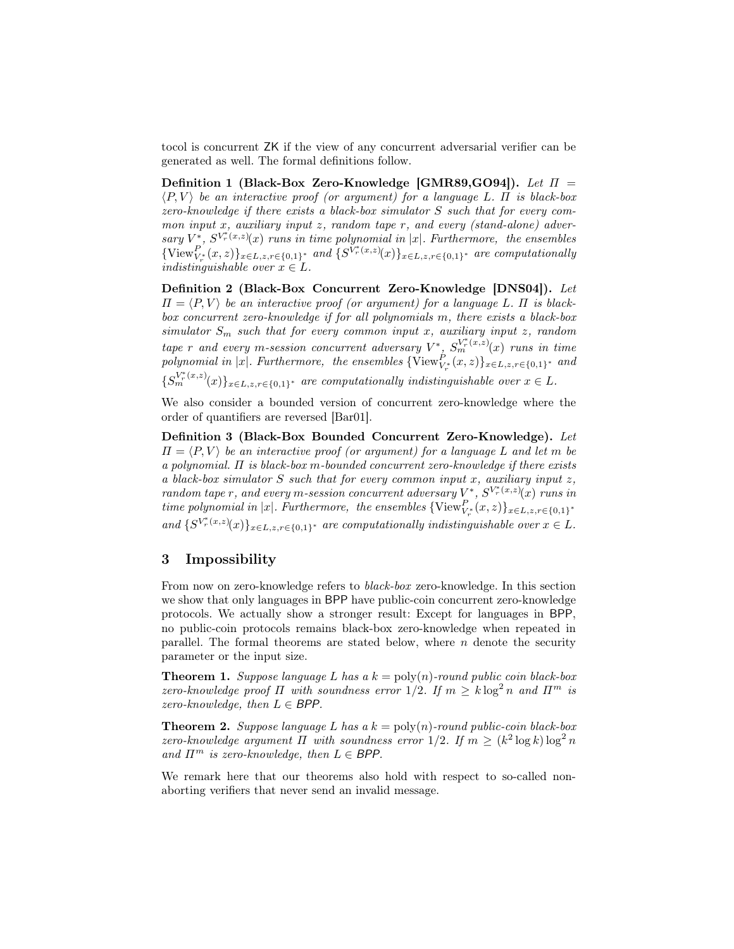tocol is concurrent ZK if the view of any concurrent adversarial verifier can be generated as well. The formal definitions follow.

Definition 1 (Black-Box Zero-Knowledge [GMR89, GO94]). Let  $\Pi$  =  $\langle P, V \rangle$  be an interactive proof (or argument) for a language L.  $\Pi$  is black-box zero-knowledge if there exists a black-box simulator S such that for every common input  $x$ , auxiliary input  $z$ , random tape  $r$ , and every (stand-alone) adversary  $V^*$ ,  $S^{V^*_{r}(x,z)}(x)$  runs in time polynomial in |x|. Furthermore, the ensembles  $\{View_{V_r^*}^{P}(x,z)\}_{x\in L, z,r\in\{0,1\}^*}$  and  $\{S^{V_r^*(x,z)}(x)\}_{x\in L, z,r\in\{0,1\}^*}$  are computationally indistinguishable over  $x \in L$ .

Definition 2 (Black-Box Concurrent Zero-Knowledge [DNS04]). Let  $\Pi = \langle P, V \rangle$  be an interactive proof (or argument) for a language L.  $\Pi$  is blackbox concurrent zero-knowledge if for all polynomials m, there exists a black-box simulator  $S_m$  such that for every common input x, auxiliary input z, random tape r and every m-session concurrent adversary  $V^*$ ,  $S_m^{V^*_{\tau}(x,z)}(x)$  runs in time polynomial in |x|. Furthermore, the ensembles  $\{\text{View}_{V_r^*}^P(x,z)\}_{x\in L, z,r \in \{0,1\}^*}$  and  $\{S_m^{V_r^*(x,z)}(x)\}_{x\in L, z,r\in\{0,1\}^*}$  are computationally indistinguishable over  $x\in L$ .

We also consider a bounded version of concurrent zero-knowledge where the order of quantifiers are reversed [Bar01].

Definition 3 (Black-Box Bounded Concurrent Zero-Knowledge). Let  $\Pi = \langle P, V \rangle$  be an interactive proof (or argument) for a language L and let m be a polynomial.  $\Pi$  is black-box m-bounded concurrent zero-knowledge if there exists a black-box simulator  $S$  such that for every common input x, auxiliary input z, random tape r, and every m-session concurrent adversary  $V^*, S^{V_r^*(x,z)}(x)$  runs in time polynomial in |x|. Furthermore, the ensembles  $\{\text{View}_{V_r^*}^P(x,z)\}_{x\in L, z,r\in\{0,1\}^*}$ and  $\{S^{V_r^*(x,z)}(x)\}_{x\in L, z,r\in\{0,1\}^*}$  are computationally indistinguishable over  $x\in L$ .

# 3 Impossibility

From now on zero-knowledge refers to black-box zero-knowledge. In this section we show that only languages in BPP have public-coin concurrent zero-knowledge protocols. We actually show a stronger result: Except for languages in BPP, no public-coin protocols remains black-box zero-knowledge when repeated in parallel. The formal theorems are stated below, where  $n$  denote the security parameter or the input size.

**Theorem 1.** Suppose language L has a  $k = \text{poly}(n)$ -round public coin black-box zero-knowledge proof  $\Pi$  with soundness error  $1/2$ . If  $m \ge k \log^2 n$  and  $\Pi^m$  is zero-knowledge, then  $L \in BPP$ .

**Theorem 2.** Suppose language L has a  $k = \text{poly}(n)$ -round public-coin black-box zero-knowledge argument  $\Pi$  with soundness error 1/2. If  $m \geq (k^2 \log k) \log^2 n$ and  $\Pi^m$  is zero-knowledge, then  $L \in BPP$ .

We remark here that our theorems also hold with respect to so-called nonaborting verifiers that never send an invalid message.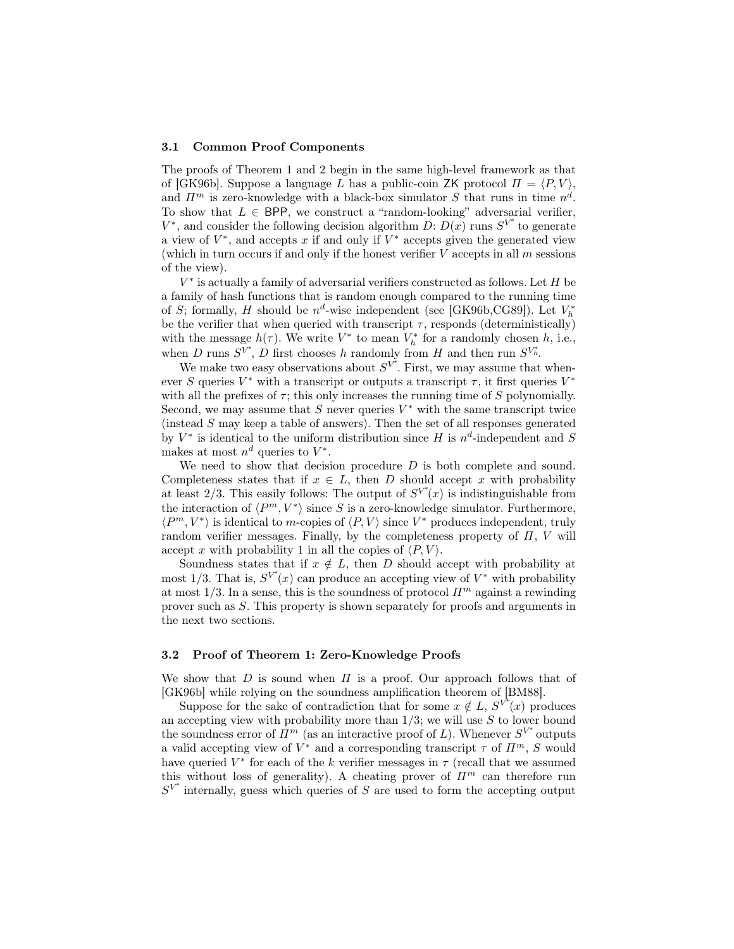#### 3.1 Common Proof Components

The proofs of Theorem 1 and 2 begin in the same high-level framework as that of [GK96b]. Suppose a language L has a public-coin ZK protocol  $\Pi = \langle P, V \rangle$ , and  $\Pi^m$  is zero-knowledge with a black-box simulator S that runs in time  $n^d$ . To show that  $L \in \mathsf{BPP}$ , we construct a "random-looking" adversarial verifier,  $V^*$ , and consider the following decision algorithm  $D: D(x)$  runs  $S^{V^*}$  to generate a view of  $V^*$ , and accepts x if and only if  $V^*$  accepts given the generated view (which in turn occurs if and only if the honest verifier  $V$  accepts in all  $m$  sessions of the view).

 $V^*$  is actually a family of adversarial verifiers constructed as follows. Let  $H$  be a family of hash functions that is random enough compared to the running time of S; formally, H should be  $n^d$ -wise independent (see [GK96b,CG89]). Let  $V_h^*$ be the verifier that when queried with transcript  $\tau$ , responds (deterministically) with the message  $h(\tau)$ . We write  $V^*$  to mean  $V_h^*$  for a randomly chosen h, i.e., when D runs  $S^{V^*}$ , D first chooses h randomly from H and then run  $S^{V^*_{h}}$ .

We make two easy observations about  $S^{V^*}$ . First, we may assume that whenever S queries  $V^*$  with a transcript or outputs a transcript  $\tau$ , it first queries  $V^*$ with all the prefixes of  $\tau$ ; this only increases the running time of S polynomially. Second, we may assume that  $S$  never queries  $V^*$  with the same transcript twice (instead S may keep a table of answers). Then the set of all responses generated by  $V^*$  is identical to the uniform distribution since H is  $n^d$ -independent and S makes at most  $n^d$  queries to  $V^*$ .

We need to show that decision procedure  $D$  is both complete and sound. Completeness states that if  $x \in L$ , then D should accept x with probability at least 2/3. This easily follows: The output of  $S^{V^*}(x)$  is indistinguishable from the interaction of  $\langle P^m, V^* \rangle$  since S is a zero-knowledge simulator. Furthermore,  $\langle P^m, V^* \rangle$  is identical to m-copies of  $\langle P, V \rangle$  since  $V^*$  produces independent, truly random verifier messages. Finally, by the completeness property of  $\Pi$ , V will accept x with probability 1 in all the copies of  $\langle P, V \rangle$ .

Soundness states that if  $x \notin L$ , then D should accept with probability at most 1/3. That is,  $S^{V^*}(x)$  can produce an accepting view of  $V^*$  with probability at most  $1/3$ . In a sense, this is the soundness of protocol  $\Pi^m$  against a rewinding prover such as S. This property is shown separately for proofs and arguments in the next two sections.

#### 3.2 Proof of Theorem 1: Zero-Knowledge Proofs

We show that  $D$  is sound when  $\Pi$  is a proof. Our approach follows that of [GK96b] while relying on the soundness amplification theorem of [BM88].

Suppose for the sake of contradiction that for some  $x \notin L$ ,  $S^{V^*}(x)$  produces an accepting view with probability more than  $1/3$ ; we will use S to lower bound the soundness error of  $\overline{H}^m$  (as an interactive proof of L). Whenever  $S^{V^*}$  outputs a valid accepting view of  $V^*$  and a corresponding transcript  $\tau$  of  $\overline{H}^m$ , S would have queried  $V^*$  for each of the k verifier messages in  $\tau$  (recall that we assumed this without loss of generality). A cheating prover of  $\Pi^m$  can therefore run  $S^{V^*}$  internally, guess which queries of S are used to form the accepting output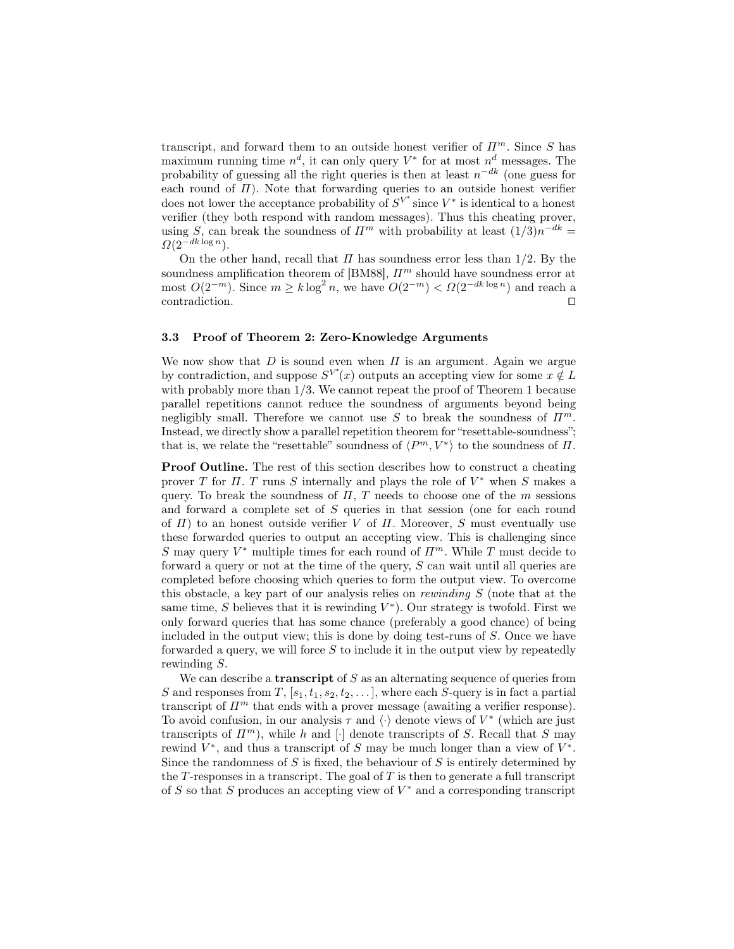transcript, and forward them to an outside honest verifier of  $\Pi^m$ . Since S has maximum running time  $n^d$ , it can only query  $V^*$  for at most  $n^d$  messages. The probability of guessing all the right queries is then at least  $n^{-dk}$  (one guess for each round of  $\Pi$ ). Note that forwarding queries to an outside honest verifier does not lower the acceptance probability of  $S^{V^*}$  since  $V^*$  is identical to a honest verifier (they both respond with random messages). Thus this cheating prover, using S, can break the soundness of  $\mathbb{I}^m$  with probability at least  $(1/3)n^{-dk} =$  $\Omega(2^{-dk \log n})$ .

On the other hand, recall that  $\Pi$  has soundness error less than 1/2. By the soundness amplification theorem of [BM88],  $\Pi^m$  should have soundness error at most  $O(2^{-m})$ . Since  $m \ge k \log^2 n$ , we have  $O(2^{-m}) < \Omega(2^{-dk \log n})$  and reach a contradiction.  $\Box$ 

#### 3.3 Proof of Theorem 2: Zero-Knowledge Arguments

We now show that  $D$  is sound even when  $\Pi$  is an argument. Again we argue by contradiction, and suppose  $S^{V^*}(x)$  outputs an accepting view for some  $x \notin L$ with probably more than  $1/3$ . We cannot repeat the proof of Theorem 1 because parallel repetitions cannot reduce the soundness of arguments beyond being negligibly small. Therefore we cannot use S to break the soundness of  $\Pi^m$ . Instead, we directly show a parallel repetition theorem for "resettable-soundness"; that is, we relate the "resettable" soundness of  $\langle P^m, V^* \rangle$  to the soundness of  $\Pi$ .

Proof Outline. The rest of this section describes how to construct a cheating prover T for  $\Pi$ . T runs S internally and plays the role of  $V^*$  when S makes a query. To break the soundness of  $\Pi$ ,  $T$  needs to choose one of the  $m$  sessions and forward a complete set of S queries in that session (one for each round of  $\Pi$ ) to an honest outside verifier V of  $\Pi$ . Moreover, S must eventually use these forwarded queries to output an accepting view. This is challenging since S may query  $V^*$  multiple times for each round of  $\Pi^m$ . While T must decide to forward a query or not at the time of the query, S can wait until all queries are completed before choosing which queries to form the output view. To overcome this obstacle, a key part of our analysis relies on rewinding S (note that at the same time, S believes that it is rewinding  $V^*$ ). Our strategy is twofold. First we only forward queries that has some chance (preferably a good chance) of being included in the output view; this is done by doing test-runs of S. Once we have forwarded a query, we will force S to include it in the output view by repeatedly rewinding S.

We can describe a **transcript** of  $S$  as an alternating sequence of queries from S and responses from T,  $[s_1, t_1, s_2, t_2, \ldots]$ , where each S-query is in fact a partial transcript of  $\Pi^m$  that ends with a prover message (awaiting a verifier response). To avoid confusion, in our analysis  $\tau$  and  $\langle \cdot \rangle$  denote views of  $V^*$  (which are just transcripts of  $\Pi^m$ ), while h and [·] denote transcripts of S. Recall that S may rewind  $V^*$ , and thus a transcript of S may be much longer than a view of  $V^*$ . Since the randomness of S is fixed, the behaviour of S is entirely determined by the  $T$ -responses in a transcript. The goal of  $T$  is then to generate a full transcript of S so that S produces an accepting view of  $V^*$  and a corresponding transcript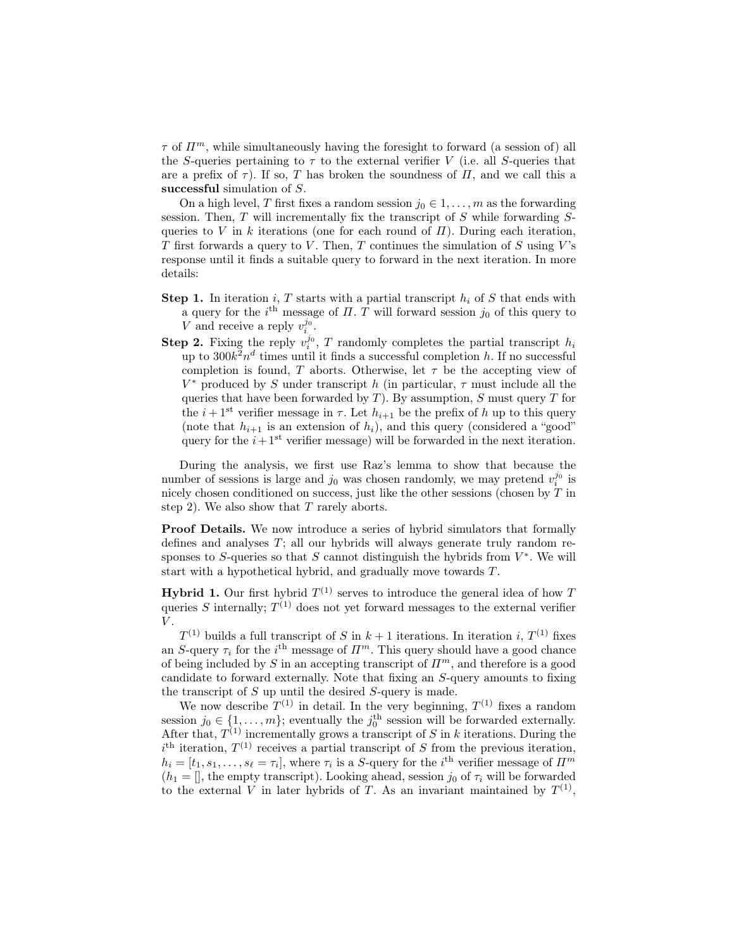$\tau$  of  $\bar{\Pi}^m$ , while simultaneously having the foresight to forward (a session of) all the S-queries pertaining to  $\tau$  to the external verifier V (i.e. all S-queries that are a prefix of  $\tau$ ). If so, T has broken the soundness of  $\Pi$ , and we call this a successful simulation of S.

On a high level, T first fixes a random session  $j_0 \in 1, \ldots, m$  as the forwarding session. Then,  $T$  will incrementally fix the transcript of  $S$  while forwarding  $S$ queries to V in k iterations (one for each round of  $\Pi$ ). During each iteration, T first forwards a query to V. Then, T continues the simulation of S using  $V$ 's response until it finds a suitable query to forward in the next iteration. In more details:

- Step 1. In iteration i, T starts with a partial transcript  $h_i$  of S that ends with a query for the  $i<sup>th</sup>$  message of  $\Pi$ . T will forward session  $j<sub>0</sub>$  of this query to V and receive a reply  $v_i^{j_0}$ .
- **Step 2.** Fixing the reply  $v_i^{j_0}$ , T randomly completes the partial transcript  $h_i$ up to  $300k<sup>2</sup>n<sup>d</sup>$  times until it finds a successful completion h. If no successful completion is found, T aborts. Otherwise, let  $\tau$  be the accepting view of  $V^*$  produced by S under transcript h (in particular,  $\tau$  must include all the queries that have been forwarded by  $T$ ). By assumption,  $S$  must query  $T$  for the  $i+1$ <sup>st</sup> verifier message in  $\tau$ . Let  $h_{i+1}$  be the prefix of h up to this query (note that  $h_{i+1}$  is an extension of  $h_i$ ), and this query (considered a "good" query for the  $i+1$ <sup>st</sup> verifier message) will be forwarded in the next iteration.

During the analysis, we first use Raz's lemma to show that because the number of sessions is large and  $j_0$  was chosen randomly, we may pretend  $v_i^{j_0}$  is nicely chosen conditioned on success, just like the other sessions (chosen by  $T$  in step 2). We also show that  $T$  rarely aborts.

Proof Details. We now introduce a series of hybrid simulators that formally defines and analyses  $T$ ; all our hybrids will always generate truly random responses to S-queries so that S cannot distinguish the hybrids from  $V^*$ . We will start with a hypothetical hybrid, and gradually move towards T.

**Hybrid 1.** Our first hybrid  $T^{(1)}$  serves to introduce the general idea of how T queries S internally;  $T^{(1)}$  does not yet forward messages to the external verifier  $V$ .

 $T^{(1)}$  builds a full transcript of S in  $k+1$  iterations. In iteration i,  $T^{(1)}$  fixes an S-query  $\tau_i$  for the  $i^{\text{th}}$  message of  $\mathbb{\Pi}^m$ . This query should have a good chance of being included by S in an accepting transcript of  $\Pi^m$ , and therefore is a good candidate to forward externally. Note that fixing an S-query amounts to fixing the transcript of S up until the desired S-query is made.

We now describe  $T^{(1)}$  in detail. In the very beginning,  $T^{(1)}$  fixes a random session  $j_0 \in \{1, \ldots, m\}$ ; eventually the  $j_0^{\text{th}}$  session will be forwarded externally. After that,  $T^{(1)}$  incrementally grows a transcript of S in k iterations. During the  $i<sup>th</sup>$  iteration,  $T<sup>(1)</sup>$  receives a partial transcript of S from the previous iteration,  $h_i = [t_1, s_1, \ldots, s_\ell = \tau_i]$ , where  $\tau_i$  is a S-query for the i<sup>th</sup> verifier message of  $\Pi^m$  $(h_1 = \|$ , the empty transcript). Looking ahead, session j<sub>0</sub> of  $\tau_i$  will be forwarded to the external V in later hybrids of T. As an invariant maintained by  $T^{(1)}$ ,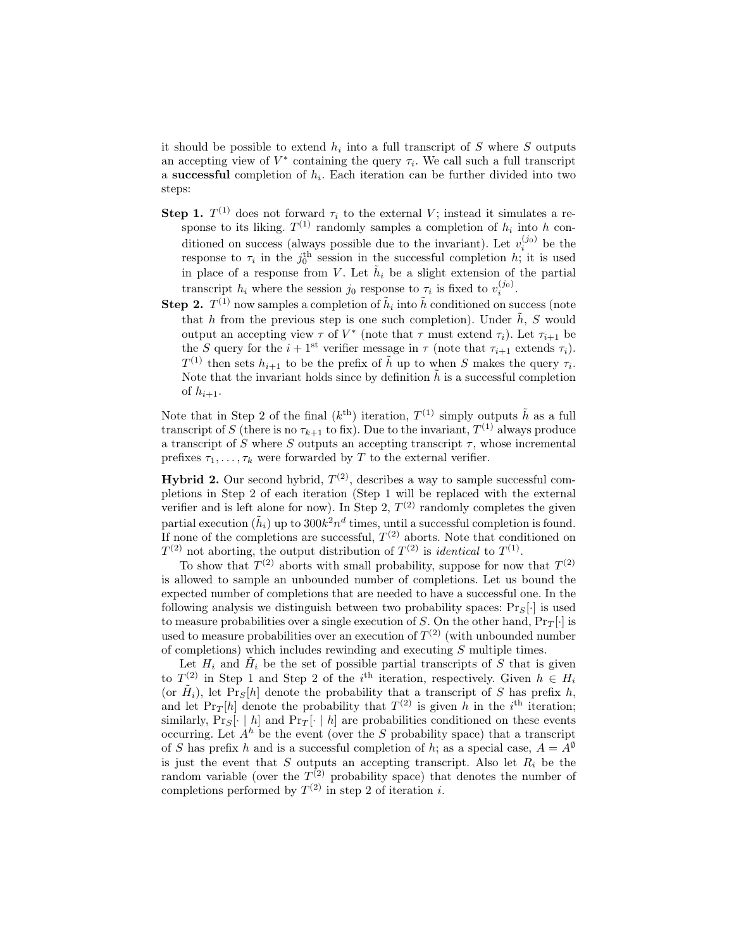it should be possible to extend  $h_i$  into a full transcript of S where S outputs an accepting view of  $V^*$  containing the query  $\tau_i$ . We call such a full transcript a successful completion of  $h_i$ . Each iteration can be further divided into two steps:

- **Step 1.**  $T^{(1)}$  does not forward  $\tau_i$  to the external V; instead it simulates a response to its liking.  $T^{(1)}$  randomly samples a completion of  $h_i$  into h conditioned on success (always possible due to the invariant). Let  $v_i^{(j_0)}$  be the response to  $\tau_i$  in the  $j_0^{\text{th}}$  session in the successful completion h; it is used in place of a response from V. Let  $\tilde{h}_i$  be a slight extension of the partial transcript  $h_i$  where the session  $j_0$  response to  $\tau_i$  is fixed to  $v_i^{(j_0)}$ .
- **Step 2.**  $T^{(1)}$  now samples a completion of  $\tilde{h}_i$  into  $\tilde{h}$  conditioned on success (note that h from the previous step is one such completion). Under  $\tilde{h}$ , S would output an accepting view  $\tau$  of  $V^*$  (note that  $\tau$  must extend  $\tau_i$ ). Let  $\tau_{i+1}$  be the S query for the  $i + 1$ <sup>st</sup> verifier message in  $\tau$  (note that  $\tau_{i+1}$  extends  $\tau_i$ ).  $T^{(1)}$  then sets  $h_{i+1}$  to be the prefix of  $\tilde{h}$  up to when S makes the query  $\tau_i$ . Note that the invariant holds since by definition  $\tilde{h}$  is a successful completion of  $h_{i+1}$ .

Note that in Step 2 of the final  $(k^{\text{th}})$  iteration,  $T^{(1)}$  simply outputs  $\tilde{h}$  as a full transcript of S (there is no  $\tau_{k+1}$  to fix). Due to the invariant,  $T^{(1)}$  always produce a transcript of S where S outputs an accepting transcript  $\tau$ , whose incremental prefixes  $\tau_1, \ldots, \tau_k$  were forwarded by T to the external verifier.

**Hybrid 2.** Our second hybrid,  $T^{(2)}$ , describes a way to sample successful completions in Step 2 of each iteration (Step 1 will be replaced with the external verifier and is left alone for now). In Step 2,  $T^{(2)}$  randomly completes the given partial execution  $(\tilde{h}_i)$  up to  $300k^2n^d$  times, until a successful completion is found. If none of the completions are successful,  $T^{(2)}$  aborts. Note that conditioned on  $T^{(2)}$  not aborting, the output distribution of  $T^{(2)}$  is *identical* to  $T^{(1)}$ .

To show that  $T^{(2)}$  aborts with small probability, suppose for now that  $T^{(2)}$ is allowed to sample an unbounded number of completions. Let us bound the expected number of completions that are needed to have a successful one. In the following analysis we distinguish between two probability spaces:  $Pr_S[\cdot]$  is used to measure probabilities over a single execution of S. On the other hand,  $Pr_T[\cdot]$  is used to measure probabilities over an execution of  $T^{(2)}$  (with unbounded number of completions) which includes rewinding and executing S multiple times.

Let  $H_i$  and  $\tilde{H}_i$  be the set of possible partial transcripts of S that is given to  $T^{(2)}$  in Step 1 and Step 2 of the i<sup>th</sup> iteration, respectively. Given  $h \in H_i$ (or  $\tilde{H}_i$ ), let  $Pr_S[h]$  denote the probability that a transcript of S has prefix h, and let  $Pr_T[h]$  denote the probability that  $T^{(2)}$  is given h in the i<sup>th</sup> iteration; similarly,  $Pr_S[\cdot | h]$  and  $Pr_T[\cdot | h]$  are probabilities conditioned on these events occurring. Let  $A^h$  be the event (over the S probability space) that a transcript of S has prefix h and is a successful completion of h; as a special case,  $A = A^{\emptyset}$ is just the event that  $S$  outputs an accepting transcript. Also let  $R_i$  be the random variable (over the  $T^{(2)}$  probability space) that denotes the number of completions performed by  $T^{(2)}$  in step 2 of iteration *i*.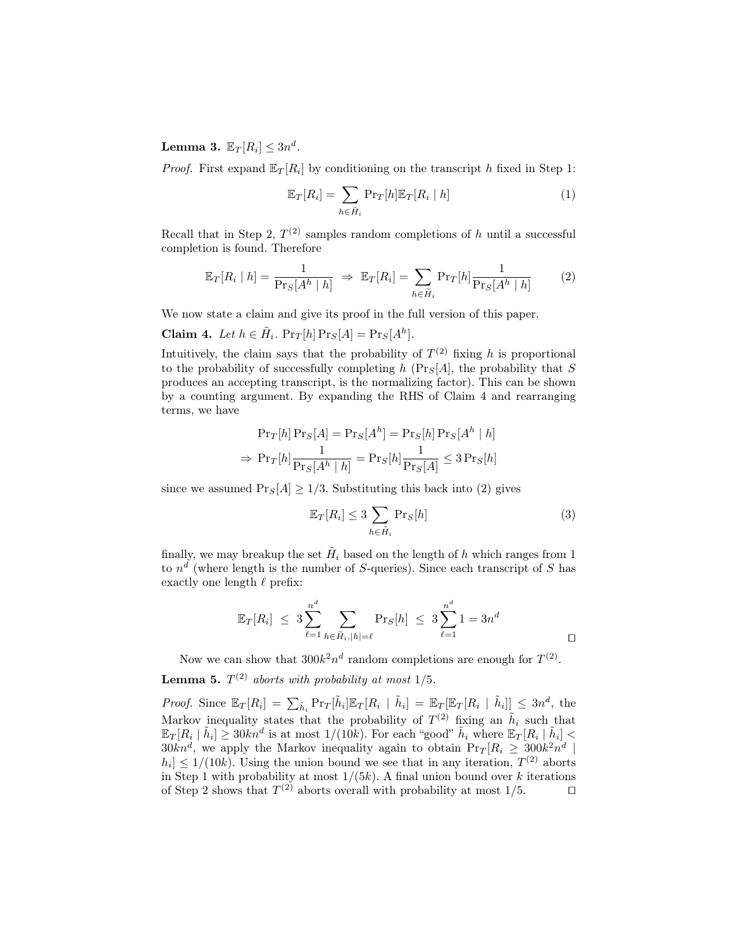Lemma 3.  $\mathbb{E}_T[R_i] \leq 3n^d$ .

*Proof.* First expand  $\mathbb{E}_T[R_i]$  by conditioning on the transcript h fixed in Step 1:

$$
\mathbb{E}_T[R_i] = \sum_{h \in \tilde{H}_i} \Pr_T[h] \mathbb{E}_T[R_i \mid h] \tag{1}
$$

Recall that in Step 2,  $T^{(2)}$  samples random completions of h until a successful completion is found. Therefore

$$
\mathbb{E}_T[R_i \mid h] = \frac{1}{\Pr_S[A^h \mid h]} \Rightarrow \mathbb{E}_T[R_i] = \sum_{h \in \tilde{H}_i} \Pr_T[h] \frac{1}{\Pr_S[A^h \mid h]}
$$
(2)

We now state a claim and give its proof in the full version of this paper.

Claim 4. Let  $h \in \tilde{H}_i$ .  $\Pr_T[h] \Pr_S[A] = \Pr_S[A^h]$ .

Intuitively, the claim says that the probability of  $T^{(2)}$  fixing h is proportional to the probability of successfully completing h  $(\Pr_S[A],$  the probability that S produces an accepting transcript, is the normalizing factor). This can be shown by a counting argument. By expanding the RHS of Claim 4 and rearranging terms, we have

$$
\Pr_T[h] \Pr_S[A] = \Pr_S[A^h] = \Pr_S[h] \Pr_S[A^h | h]
$$

$$
\Rightarrow \Pr_T[h] \frac{1}{\Pr_S[A^h | h]} = \Pr_S[h] \frac{1}{\Pr_S[A]} \le 3 \Pr_S[h]
$$

since we assumed  $Pr_S[A] \geq 1/3$ . Substituting this back into (2) gives

$$
\mathbb{E}_T[R_i] \le 3 \sum_{h \in \tilde{H}_i} \Pr_S[h] \tag{3}
$$

finally, we may breakup the set  $\tilde{H}_i$  based on the length of  $h$  which ranges from 1 to  $n^d$  (where length is the number of S-queries). Since each transcript of S has exactly one length  $\ell$  prefix:

$$
\mathbb{E}_{T}[R_i] \leq 3 \sum_{\ell=1}^{n^d} \sum_{h \in \tilde{H}_i, |h| = \ell} \Pr_S[h] \leq 3 \sum_{\ell=1}^{n^d} 1 = 3n^d
$$

Now we can show that  $300k^2n^d$  random completions are enough for  $T^{(2)}$ .

**Lemma 5.**  $T^{(2)}$  aborts with probability at most  $1/5$ .

*Proof.* Since  $\mathbb{E}_T[R_i] = \sum_{\tilde{h}_i} \Pr_T[\tilde{h}_i] \mathbb{E}_T[R_i | \tilde{h}_i] = \mathbb{E}_T[\mathbb{E}_T[R_i | \tilde{h}_i]] \leq 3n^d$ , the Markov inequality states that the probability of  $T^{(2)}$  fixing an  $\tilde{h}_i$  such that  $\mathbb{E}_T[R_i \mid \tilde{h}_i] \geq 30kn^d$  is at most  $1/(10k)$ . For each "good"  $\tilde{h}_i$  where  $\mathbb{E}_T[R_i \mid \tilde{h}_i]$  <  $30kn^d$ , we apply the Markov inequality again to obtain  $Pr_T[R_i \geq 300k^2n^d]$  $h_i$   $\leq$  1/(10k). Using the union bound we see that in any iteration,  $T^{(2)}$  aborts in Step 1 with probability at most  $1/(5k)$ . A final union bound over k iterations of Step 2 shows that  $T^{(2)}$  aborts overall with probability at most 1/5.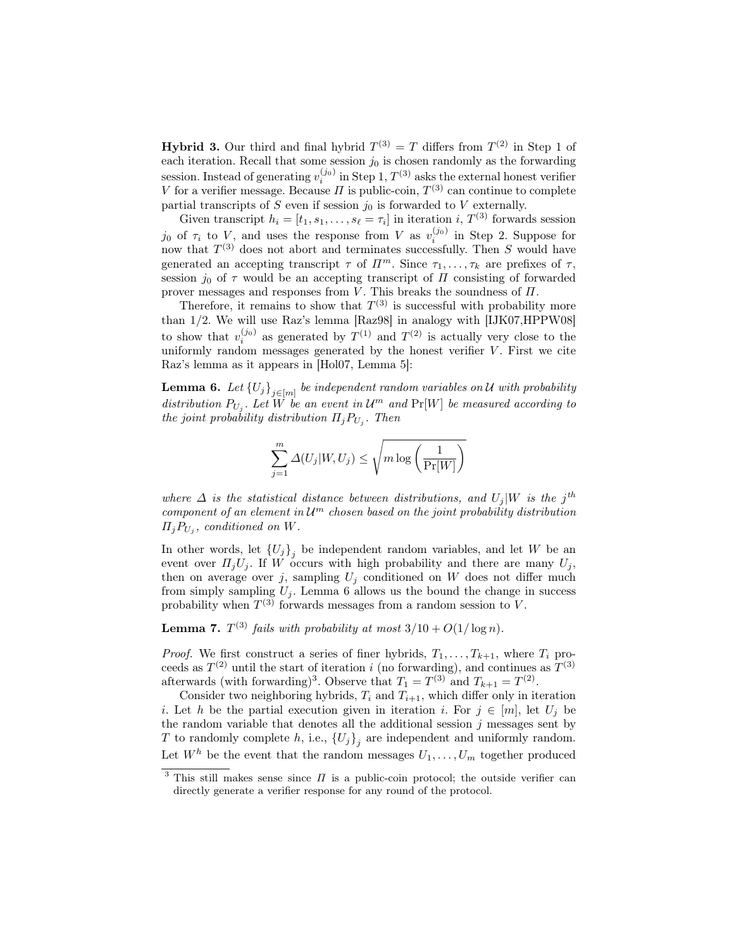**Hybrid 3.** Our third and final hybrid  $T^{(3)} = T$  differs from  $T^{(2)}$  in Step 1 of each iteration. Recall that some session  $j_0$  is chosen randomly as the forwarding session. Instead of generating  $v_i^{(j_0)}$  in Step 1,  $T^{(3)}$  asks the external honest verifier V for a verifier message. Because  $\Pi$  is public-coin,  $T^{(3)}$  can continue to complete partial transcripts of S even if session  $j_0$  is forwarded to V externally.

Given transcript  $h_i = [t_1, s_1, \ldots, s_\ell = \tau_i]$  in iteration i,  $T^{(3)}$  forwards session j<sub>0</sub> of  $\tau_i$  to V<sub>i</sub>, and uses the response from V as  $v_i^{(j_0)}$  in Step 2. Suppose for now that  $T^{(3)}$  does not abort and terminates successfully. Then S would have generated an accepting transcript  $\tau$  of  $\bar{H}^m$ . Since  $\tau_1, \ldots, \tau_k$  are prefixes of  $\tau$ , session  $j_0$  of  $\tau$  would be an accepting transcript of  $\Pi$  consisting of forwarded prover messages and responses from  $V$ . This breaks the soundness of  $\Pi$ .

Therefore, it remains to show that  $T^{(3)}$  is successful with probability more than 1/2. We will use Raz's lemma [Raz98] in analogy with [IJK07,HPPW08] to show that  $v_i^{(j_0)}$  as generated by  $T^{(1)}$  and  $T^{(2)}$  is actually very close to the uniformly random messages generated by the honest verifier  $V$ . First we cite Raz's lemma as it appears in [Hol07, Lemma 5]:

**Lemma 6.** Let  $\{U_j\}_{j\in[m]}$  be independent random variables on  $\mathcal U$  with probability distribution  $P_{U_j}$ . Let W be an event in  $\mathcal{U}^m$  and  $\Pr[W]$  be measured according to the joint probability distribution  $\Pi_j P_{U_j}$ . Then

$$
\sum_{j=1}^{m} \Delta(U_j|W, U_j) \le \sqrt{m \log \left(\frac{1}{\Pr[W]}\right)}
$$

where  $\Delta$  is the statistical distance between distributions, and  $U_j|W$  is the j<sup>th</sup> component of an element in  $\mathcal{U}^m$  chosen based on the joint probability distribution  $\Pi_j P_{U_j}$ , conditioned on W.

In other words, let  ${U_j}_j$  be independent random variables, and let W be an event over  $\Pi_j U_j$ . If W occurs with high probability and there are many  $U_j$ , then on average over  $j$ , sampling  $U_j$  conditioned on W does not differ much from simply sampling  $U_j$ . Lemma 6 allows us the bound the change in success probability when  $T^{(3)}$  forwards messages from a random session to V.

**Lemma 7.**  $T^{(3)}$  fails with probability at most  $3/10 + O(1/\log n)$ .

*Proof.* We first construct a series of finer hybrids,  $T_1, \ldots, T_{k+1}$ , where  $T_i$  proceeds as  $T^{(2)}$  until the start of iteration i (no forwarding), and continues as  $T^{(3)}$ afterwards (with forwarding)<sup>3</sup>. Observe that  $T_1 = T^{(3)}$  and  $T_{k+1} = T^{(2)}$ .

Consider two neighboring hybrids,  $T_i$  and  $T_{i+1}$ , which differ only in iteration i. Let h be the partial execution given in iteration i. For  $j \in [m]$ , let  $U_j$  be the random variable that denotes all the additional session  $j$  messages sent by T to randomly complete h, i.e.,  ${U_j}_j$  are independent and uniformly random. Let  $W^h$  be the event that the random messages  $U_1, \ldots, U_m$  together produced

<sup>&</sup>lt;sup>3</sup> This still makes sense since  $\Pi$  is a public-coin protocol; the outside verifier can directly generate a verifier response for any round of the protocol.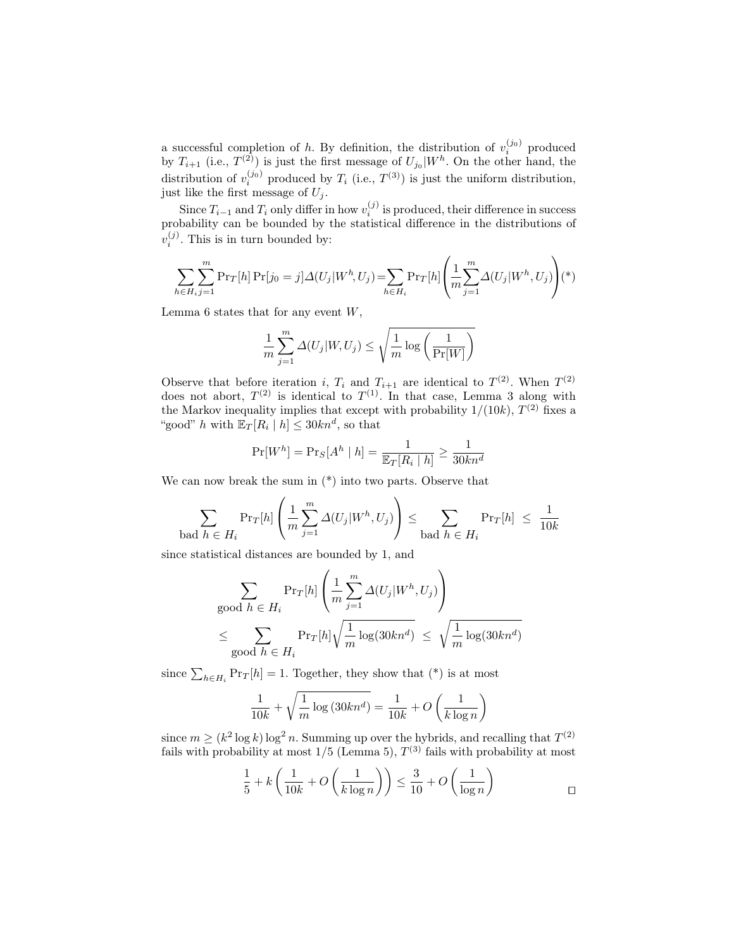a successful completion of h. By definition, the distribution of  $v_i^{(j_0)}$  produced by  $T_{i+1}$  (i.e.,  $T^{(2)}$ ) is just the first message of  $U_{j_0}|W^h$ . On the other hand, the distribution of  $v_i^{(j_0)}$  produced by  $T_i$  (i.e.,  $T^{(3)}$ ) is just the uniform distribution, just like the first message of  $U_j$ .

Since  $T_{i-1}$  and  $T_i$  only differ in how  $v_i^{(j)}$  is produced, their difference in success probability can be bounded by the statistical difference in the distributions of  $v_i^{(j)}$ . This is in turn bounded by:

$$
\sum_{h \in H_i} \sum_{j=1}^m \Pr_T[h] \Pr[j_0 = j] \Delta(U_j | W^h, U_j) = \sum_{h \in H_i} \Pr_T[h] \left( \frac{1}{m} \sum_{j=1}^m \Delta(U_j | W^h, U_j) \right) (*)
$$

Lemma 6 states that for any event  $W$ ,

$$
\frac{1}{m}\sum_{j=1}^{m} \Delta(U_j|W, U_j) \le \sqrt{\frac{1}{m}\log\left(\frac{1}{\Pr[W]}\right)}
$$

Observe that before iteration *i*,  $T_i$  and  $T_{i+1}$  are identical to  $T^{(2)}$ . When  $T^{(2)}$ does not abort,  $T^{(2)}$  is identical to  $T^{(1)}$ . In that case, Lemma 3 along with the Markov inequality implies that except with probability  $1/(10k)$ ,  $T^{(2)}$  fixes a "good" h with  $\mathbb{E}_T[R_i \mid h] \leq 30kn^d$ , so that

$$
\Pr[W^h] = \Pr_S[A^h \mid h] = \frac{1}{\mathbb{E}_T[R_i \mid h]} \ge \frac{1}{30kn^d}
$$

We can now break the sum in (\*) into two parts. Observe that

$$
\sum_{\text{bad }h \in H_i} \Pr_T[h] \left( \frac{1}{m} \sum_{j=1}^m \Delta(U_j | W^h, U_j) \right) \le \sum_{\text{bad }h \in H_i} \Pr_T[h] \le \frac{1}{10k}
$$

since statistical distances are bounded by 1, and

$$
\sum_{\text{good }h \in H_i} \Pr_T[h] \left( \frac{1}{m} \sum_{j=1}^m \Delta(U_j | W^h, U_j) \right)
$$
  

$$
\leq \sum_{\text{good }h \in H_i} \Pr_T[h] \sqrt{\frac{1}{m} \log(30kn^d)} \leq \sqrt{\frac{1}{m} \log(30kn^d)}
$$

since  $\sum_{h \in H_i} \Pr_T[h] = 1$ . Together, they show that (\*) is at most

$$
\frac{1}{10k} + \sqrt{\frac{1}{m} \log \left(30kn^d\right)} = \frac{1}{10k} + O\left(\frac{1}{k \log n}\right)
$$

since  $m \geq (k^2 \log k) \log^2 n$ . Summing up over the hybrids, and recalling that  $T^{(2)}$ fails with probability at most  $1/5$  (Lemma 5),  $T^{(3)}$  fails with probability at most

$$
\frac{1}{5} + k \left( \frac{1}{10k} + O\left(\frac{1}{k \log n}\right) \right) \le \frac{3}{10} + O\left(\frac{1}{\log n}\right)
$$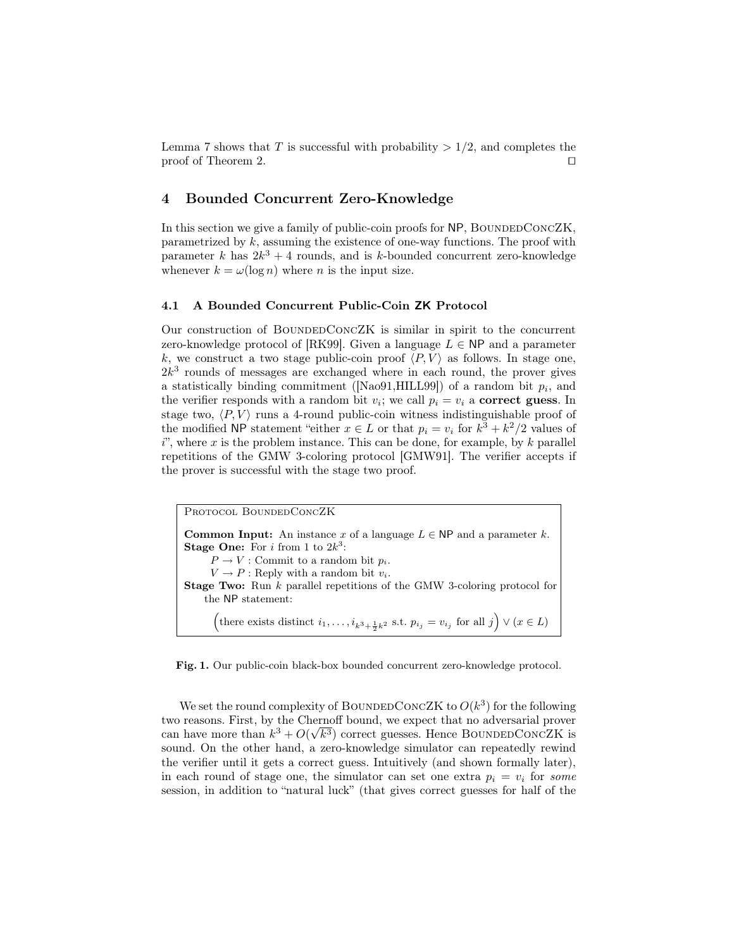Lemma 7 shows that T is successful with probability  $> 1/2$ , and completes the proof of Theorem 2.  $\Box$ 

## 4 Bounded Concurrent Zero-Knowledge

In this section we give a family of public-coin proofs for NP, BOUNDEDCONCZK, parametrized by  $k$ , assuming the existence of one-way functions. The proof with parameter k has  $2k^3 + 4$  rounds, and is k-bounded concurrent zero-knowledge whenever  $k = \omega(\log n)$  where *n* is the input size.

#### 4.1 A Bounded Concurrent Public-Coin ZK Protocol

Our construction of BOUNDEDCONCZK is similar in spirit to the concurrent zero-knowledge protocol of [RK99]. Given a language  $L \in \mathsf{NP}$  and a parameter k, we construct a two stage public-coin proof  $\langle P, V \rangle$  as follows. In stage one,  $2k<sup>3</sup>$  rounds of messages are exchanged where in each round, the prover gives a statistically binding commitment ([Nao91,HILL99]) of a random bit  $p_i$ , and the verifier responds with a random bit  $v_i$ ; we call  $p_i = v_i$  a **correct guess**. In stage two,  $\langle P, V \rangle$  runs a 4-round public-coin witness indistinguishable proof of the modified NP statement "either  $x \in L$  or that  $p_i = v_i$  for  $k^3 + k^2/2$  values of  $i$ ", where x is the problem instance. This can be done, for example, by k parallel repetitions of the GMW 3-coloring protocol [GMW91]. The verifier accepts if the prover is successful with the stage two proof.

PROTOCOL BOUNDEDCONCZK **Common Input:** An instance x of a language  $L \in \mathsf{NP}$  and a parameter k. **Stage One:** For i from 1 to  $2k^3$ :  $P \to V$ : Commit to a random bit  $p_i$ .  $V \rightarrow P$ : Reply with a random bit  $v_i$ . Stage Two: Run k parallel repetitions of the GMW 3-coloring protocol for the NP statement: (there exists distinct  $i_1, \ldots, i_{k^3 + \frac{1}{2}k^2}$  s.t.  $p_{i_j} = v_{i_j}$  for all  $j$ )  $\vee$   $(x \in L)$ 

Fig. 1. Our public-coin black-box bounded concurrent zero-knowledge protocol.

We set the round complexity of BOUNDEDCONCZK to  $O(k^3)$  for the following two reasons. First, by the Chernoff bound, we expect that no adversarial prover can have more than  $k^3 + O(\sqrt{k^3})$  correct guesses. Hence BOUNDEDCONCZK is sound. On the other hand, a zero-knowledge simulator can repeatedly rewind the verifier until it gets a correct guess. Intuitively (and shown formally later), in each round of stage one, the simulator can set one extra  $p_i = v_i$  for some session, in addition to "natural luck" (that gives correct guesses for half of the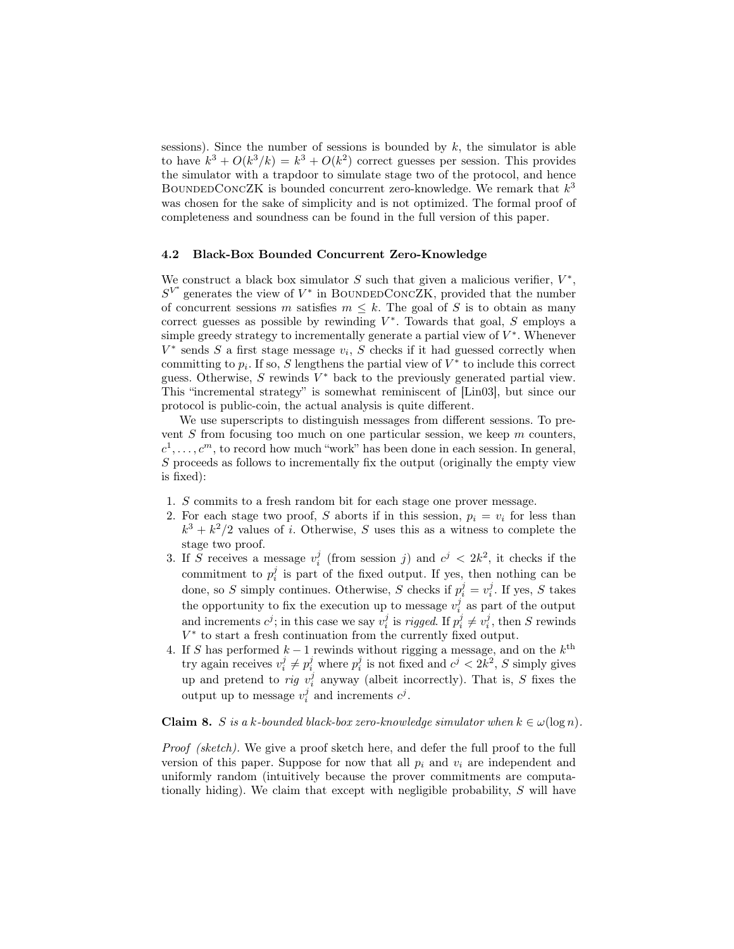sessions). Since the number of sessions is bounded by  $k$ , the simulator is able to have  $k^3 + O(k^3/k) = k^3 + O(k^2)$  correct guesses per session. This provides the simulator with a trapdoor to simulate stage two of the protocol, and hence BOUNDEDCONCZK is bounded concurrent zero-knowledge. We remark that  $k^3$ was chosen for the sake of simplicity and is not optimized. The formal proof of completeness and soundness can be found in the full version of this paper.

#### 4.2 Black-Box Bounded Concurrent Zero-Knowledge

We construct a black box simulator  $S$  such that given a malicious verifier,  $V^*$ ,  $S^{V^*}$  generates the view of  $V^*$  in BOUNDEDCONCZK, provided that the number of concurrent sessions m satisfies  $m \leq k$ . The goal of S is to obtain as many correct guesses as possible by rewinding  $V^*$ . Towards that goal, S employs a simple greedy strategy to incrementally generate a partial view of  $V^*$ . Whenever  $V^*$  sends S a first stage message  $v_i$ , S checks if it had guessed correctly when committing to  $p_i$ . If so, S lengthens the partial view of  $V^*$  to include this correct guess. Otherwise,  $S$  rewinds  $V^*$  back to the previously generated partial view. This "incremental strategy" is somewhat reminiscent of [Lin03], but since our protocol is public-coin, the actual analysis is quite different.

We use superscripts to distinguish messages from different sessions. To prevent  $S$  from focusing too much on one particular session, we keep  $m$  counters,  $c^1, \ldots, c^m$ , to record how much "work" has been done in each session. In general, S proceeds as follows to incrementally fix the output (originally the empty view is fixed):

- 1. S commits to a fresh random bit for each stage one prover message.
- 2. For each stage two proof, S aborts if in this session,  $p_i = v_i$  for less than  $k^3 + k^2/2$  values of i. Otherwise, S uses this as a witness to complete the stage two proof.
- 3. If S receives a message  $v_i^j$  (from session j) and  $c^j$  <  $2k^2$ , it checks if the commitment to  $p_i^j$  is part of the fixed output. If yes, then nothing can be done, so S simply continues. Otherwise, S checks if  $p_i^j = v_i^j$ . If yes, S takes the opportunity to fix the execution up to message  $v_i^j$  as part of the output and increments  $c^j$ ; in this case we say  $v_i^j$  is *rigged*. If  $p_i^j \neq v_i^j$ , then S rewinds V ∗ to start a fresh continuation from the currently fixed output.
- 4. If S has performed  $k-1$  rewinds without rigging a message, and on the  $k^{\text{th}}$ try again receives  $v_i^j \neq p_i^j$  where  $p_i^j$  is not fixed and  $c^j < 2k^2$ , S simply gives up and pretend to rig  $v_i^j$  anyway (albeit incorrectly). That is, S fixes the output up to message  $v_i^j$  and increments  $c^j$ .

#### **Claim 8.** S is a k-bounded black-box zero-knowledge simulator when  $k \in \omega(\log n)$ .

Proof (sketch). We give a proof sketch here, and defer the full proof to the full version of this paper. Suppose for now that all  $p_i$  and  $v_i$  are independent and uniformly random (intuitively because the prover commitments are computationally hiding). We claim that except with negligible probability,  $S$  will have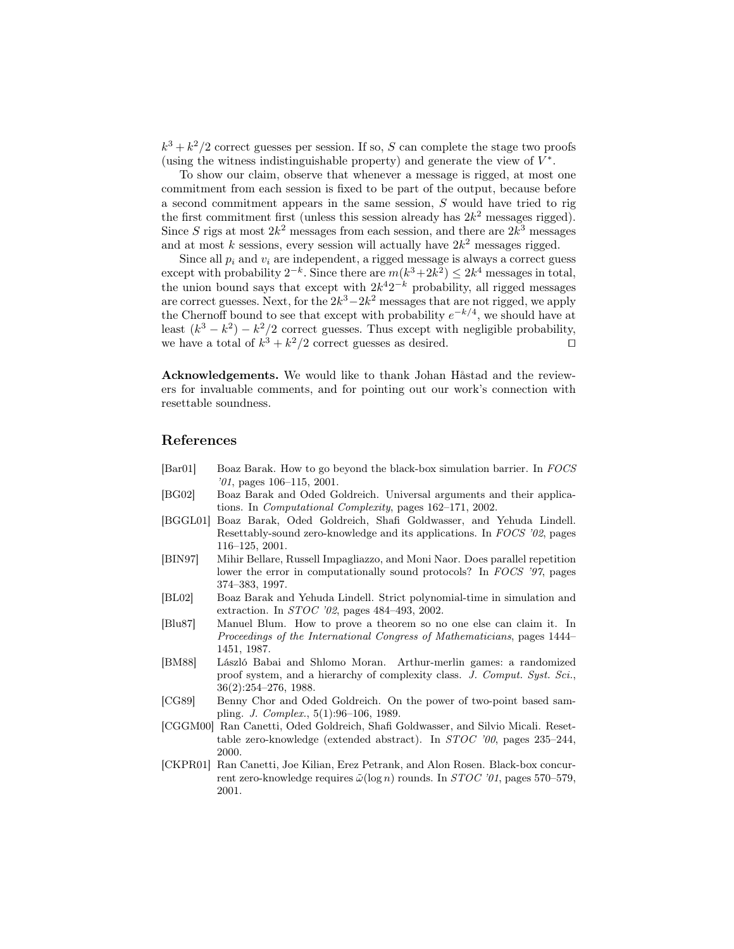$k^3 + k^2/2$  correct guesses per session. If so, S can complete the stage two proofs (using the witness indistinguishable property) and generate the view of  $V^*$ .

To show our claim, observe that whenever a message is rigged, at most one commitment from each session is fixed to be part of the output, because before a second commitment appears in the same session, S would have tried to rig the first commitment first (unless this session already has  $2k^2$  messages rigged). Since S rigs at most  $2k^2$  messages from each session, and there are  $2k^3$  messages and at most  $k$  sessions, every session will actually have  $2k^2$  messages rigged.

Since all  $p_i$  and  $v_i$  are independent, a rigged message is always a correct guess except with probability  $2^{-k}$ . Since there are  $m(k^3+2k^2) \leq 2k^4$  messages in total, the union bound says that except with  $2k^42^{-k}$  probability, all rigged messages are correct guesses. Next, for the  $2k^3 - 2k^2$  messages that are not rigged, we apply the Chernoff bound to see that except with probability  $e^{-k/4}$ , we should have at least  $(k^3 - k^2) - k^2/2$  correct guesses. Thus except with negligible probability, we have a total of  $k^3 + k^2/2$  correct guesses as desired.

Acknowledgements. We would like to thank Johan Håstad and the reviewers for invaluable comments, and for pointing out our work's connection with resettable soundness.

## References

- [Bar01] Boaz Barak. How to go beyond the black-box simulation barrier. In FOCS '01, pages 106–115, 2001.
- [BG02] Boaz Barak and Oded Goldreich. Universal arguments and their applications. In Computational Complexity, pages 162–171, 2002.
- [BGGL01] Boaz Barak, Oded Goldreich, Shafi Goldwasser, and Yehuda Lindell. Resettably-sound zero-knowledge and its applications. In FOCS '02, pages 116–125, 2001.
- [BIN97] Mihir Bellare, Russell Impagliazzo, and Moni Naor. Does parallel repetition lower the error in computationally sound protocols? In FOCS '97, pages 374–383, 1997.
- [BL02] Boaz Barak and Yehuda Lindell. Strict polynomial-time in simulation and extraction. In STOC '02, pages 484–493, 2002.
- [Blu87] Manuel Blum. How to prove a theorem so no one else can claim it. In Proceedings of the International Congress of Mathematicians, pages 1444– 1451, 1987.
- [BM88] László Babai and Shlomo Moran. Arthur-merlin games: a randomized proof system, and a hierarchy of complexity class. J. Comput. Syst. Sci., 36(2):254–276, 1988.
- [CG89] Benny Chor and Oded Goldreich. On the power of two-point based sampling. J. Complex., 5(1):96–106, 1989.
- [CGGM00] Ran Canetti, Oded Goldreich, Shafi Goldwasser, and Silvio Micali. Resettable zero-knowledge (extended abstract). In STOC '00, pages 235–244, 2000.
- [CKPR01] Ran Canetti, Joe Kilian, Erez Petrank, and Alon Rosen. Black-box concurrent zero-knowledge requires  $\tilde{\omega}(\log n)$  rounds. In *STOC '01*, pages 570–579, 2001.